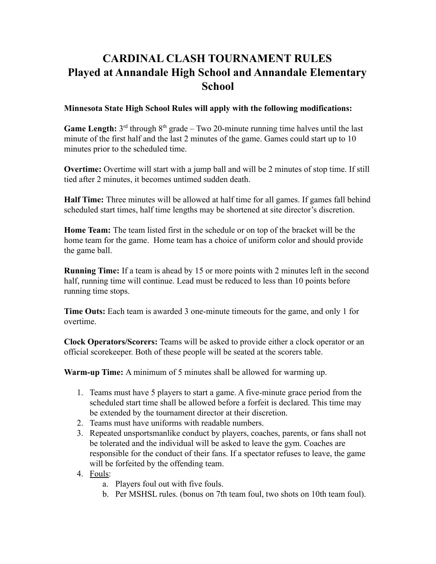## **CARDINAL CLASH TOURNAMENT RULES Played at Annandale High School and Annandale Elementary School**

## **Minnesota State High School Rules will apply with the following modifications:**

**Game Length:**  $3<sup>rd</sup>$  through  $8<sup>th</sup>$  grade – Two 20-minute running time halves until the last minute of the first half and the last 2 minutes of the game. Games could start up to 10 minutes prior to the scheduled time.

**Overtime:** Overtime will start with a jump ball and will be 2 minutes of stop time. If still tied after 2 minutes, it becomes untimed sudden death.

**Half Time:** Three minutes will be allowed at half time for all games. If games fall behind scheduled start times, half time lengths may be shortened at site director's discretion.

**Home Team:** The team listed first in the schedule or on top of the bracket will be the home team for the game. Home team has a choice of uniform color and should provide the game ball.

**Running Time:** If a team is ahead by 15 or more points with 2 minutes left in the second half, running time will continue. Lead must be reduced to less than 10 points before running time stops.

**Time Outs:** Each team is awarded 3 one-minute timeouts for the game, and only 1 for overtime.

**Clock Operators/Scorers:** Teams will be asked to provide either a clock operator or an official scorekeeper. Both of these people will be seated at the scorers table.

**Warm-up Time:** A minimum of 5 minutes shall be allowed for warming up.

- 1. Teams must have 5 players to start a game. A five-minute grace period from the scheduled start time shall be allowed before a forfeit is declared. This time may be extended by the tournament director at their discretion.
- 2. Teams must have uniforms with readable numbers.
- 3. Repeated unsportsmanlike conduct by players, coaches, parents, or fans shall not be tolerated and the individual will be asked to leave the gym. Coaches are responsible for the conduct of their fans. If a spectator refuses to leave, the game will be forfeited by the offending team.
- 4. Fouls:
	- a. Players foul out with five fouls.
	- b. Per MSHSL rules. (bonus on 7th team foul, two shots on 10th team foul).